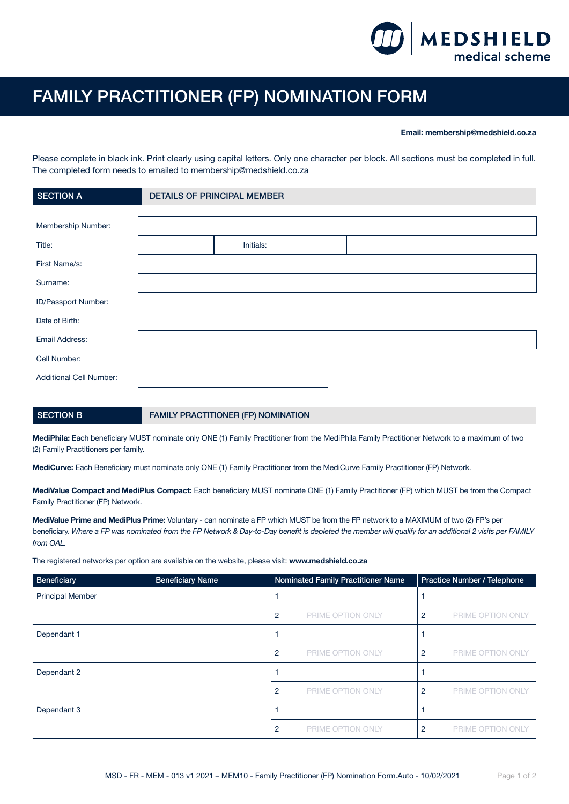

## FAMILY PRACTITIONER (FP) NOMINATION FORM

## Email: membership@medshield.co.za

Please complete in black ink. Print clearly using capital letters. Only one character per block. All sections must be completed in full. The completed form needs to emailed to membership@medshield.co.za

| <b>SECTION A</b>        | <b>DETAILS OF PRINCIPAL MEMBER</b> |
|-------------------------|------------------------------------|
|                         |                                    |
| Membership Number:      |                                    |
| Title:                  | Initials:                          |
| First Name/s:           |                                    |
| Surname:                |                                    |
| ID/Passport Number:     |                                    |
| Date of Birth:          |                                    |
| Email Address:          |                                    |
| Cell Number:            |                                    |
| Additional Cell Number: |                                    |

## SECTION B FAMILY PRACTITIONER (FP) NOMINATION

MediPhila: Each beneficiary MUST nominate only ONE (1) Family Practitioner from the MediPhila Family Practitioner Network to a maximum of two (2) Family Practitioners per family.

MediCurve: Each Beneficiary must nominate only ONE (1) Family Practitioner from the MediCurve Family Practitioner (FP) Network.

MediValue Compact and MediPlus Compact: Each beneficiary MUST nominate ONE (1) Family Practitioner (FP) which MUST be from the Compact Family Practitioner (FP) Network.

MediValue Prime and MediPlus Prime: Voluntary - can nominate a FP which MUST be from the FP network to a MAXIMUM of two (2) FP's per beneficiary. *Where a FP was nominated from the FP Network & Day-to-Day benefit is depleted the member will qualify for an additional 2 visits per FAMILY from OAL.*

The registered networks per option are available on the website, please visit: www.medshield.co.za

| Beneficiary             | <b>Beneficiary Name</b> |                | Nominated Family Practitioner Name | Practice Number / Telephone |                          |
|-------------------------|-------------------------|----------------|------------------------------------|-----------------------------|--------------------------|
| <b>Principal Member</b> |                         |                |                                    |                             |                          |
|                         |                         | 2              | PRIME OPTION ONLY                  | $\overline{2}$              | PRIME OPTION ONLY        |
| Dependant 1             |                         |                |                                    |                             |                          |
|                         |                         | 2              | PRIME OPTION ONLY                  | $\overline{2}$              | PRIME OPTION ONLY        |
| Dependant 2             |                         |                |                                    |                             |                          |
|                         |                         | $\overline{2}$ | PRIME OPTION ONLY                  | $\overline{2}$              | PRIME OPTION ONLY        |
| Dependant 3             |                         |                |                                    |                             |                          |
|                         |                         | 2              | PRIME OPTION ONLY                  | 2                           | <b>PRIME OPTION ONLY</b> |